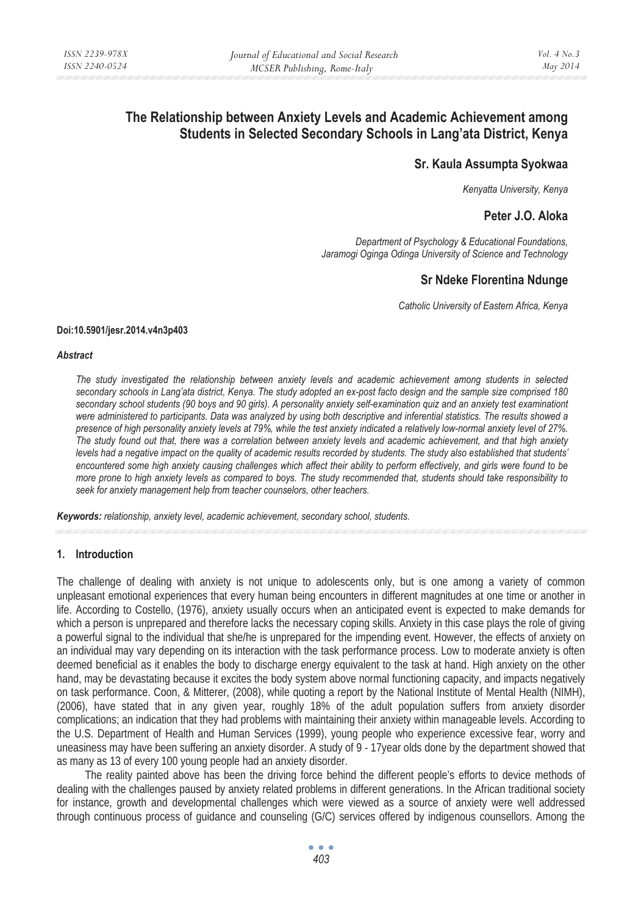# **The Relationship between Anxiety Levels and Academic Achievement among Students in Selected Secondary Schools in Lang'ata District, Kenya**

## **Sr. Kaula Assumpta Syokwaa**

*Kenyatta University, Kenya* 

#### **Peter J.O. Aloka**

*Department of Psychology & Educational Foundations, Jaramogi Oginga Odinga University of Science and Technology* 

## **Sr Ndeke Florentina Ndunge**

*Catholic University of Eastern Africa, Kenya* 

#### **Doi:10.5901/jesr.2014.v4n3p403**

#### *Abstract*

*The study investigated the relationship between anxiety levels and academic achievement among students in selected secondary schools in Lang'ata district, Kenya. The study adopted an ex-post facto design and the sample size comprised 180 secondary school students (90 boys and 90 girls). A personality anxiety self-examination quiz and an anxiety test examinationt were administered to participants. Data was analyzed by using both descriptive and inferential statistics. The results showed a presence of high personality anxiety levels at 79%, while the test anxiety indicated a relatively low-normal anxiety level of 27%. The study found out that, there was a correlation between anxiety levels and academic achievement, and that high anxiety levels had a negative impact on the quality of academic results recorded by students. The study also established that students' encountered some high anxiety causing challenges which affect their ability to perform effectively, and girls were found to be more prone to high anxiety levels as compared to boys. The study recommended that, students should take responsibility to seek for anxiety management help from teacher counselors, other teachers.* 

*Keywords: relationship, anxiety level, academic achievement, secondary school, students.* 

#### **1. Introduction**

The challenge of dealing with anxiety is not unique to adolescents only, but is one among a variety of common unpleasant emotional experiences that every human being encounters in different magnitudes at one time or another in life. According to Costello, (1976), anxiety usually occurs when an anticipated event is expected to make demands for which a person is unprepared and therefore lacks the necessary coping skills. Anxiety in this case plays the role of giving a powerful signal to the individual that she/he is unprepared for the impending event. However, the effects of anxiety on an individual may vary depending on its interaction with the task performance process. Low to moderate anxiety is often deemed beneficial as it enables the body to discharge energy equivalent to the task at hand. High anxiety on the other hand, may be devastating because it excites the body system above normal functioning capacity, and impacts negatively on task performance. Coon, & Mitterer, (2008), while quoting a report by the National Institute of Mental Health (NIMH), (2006), have stated that in any given year, roughly 18% of the adult population suffers from anxiety disorder complications; an indication that they had problems with maintaining their anxiety within manageable levels. According to the U.S. Department of Health and Human Services (1999), young people who experience excessive fear, worry and uneasiness may have been suffering an anxiety disorder. A study of 9 - 17year olds done by the department showed that as many as 13 of every 100 young people had an anxiety disorder.

The reality painted above has been the driving force behind the different people's efforts to device methods of dealing with the challenges paused by anxiety related problems in different generations. In the African traditional society for instance, growth and developmental challenges which were viewed as a source of anxiety were well addressed through continuous process of guidance and counseling (G/C) services offered by indigenous counsellors. Among the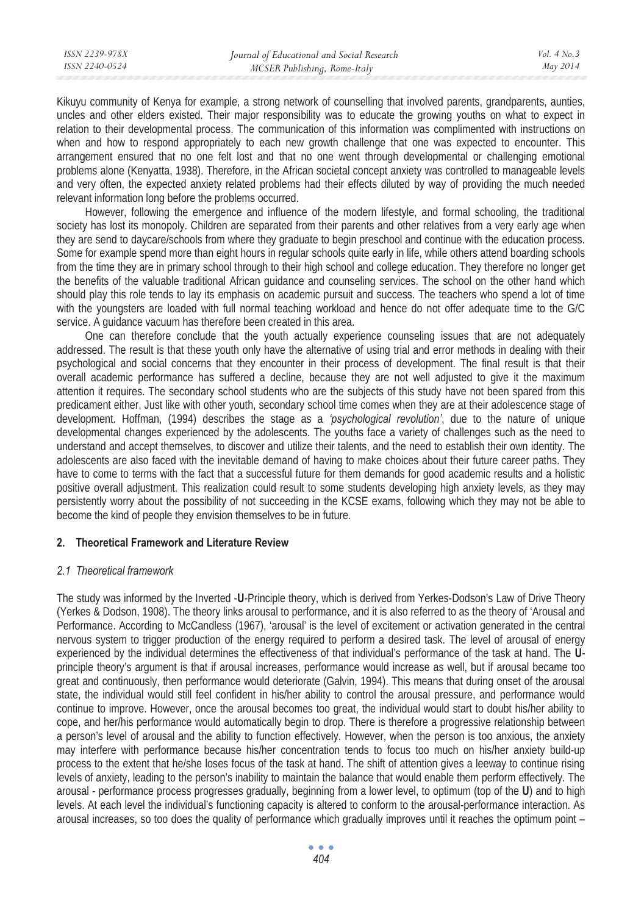| ISSN 2239-978X | Journal of Educational and Social Research | Vol. $4$ No. $3$ |
|----------------|--------------------------------------------|------------------|
| ISSN 2240-0524 | MCSER Publishing, Rome-Italy               | May 2014         |
|                |                                            |                  |

Kikuyu community of Kenya for example, a strong network of counselling that involved parents, grandparents, aunties, uncles and other elders existed. Their major responsibility was to educate the growing youths on what to expect in relation to their developmental process. The communication of this information was complimented with instructions on when and how to respond appropriately to each new growth challenge that one was expected to encounter. This arrangement ensured that no one felt lost and that no one went through developmental or challenging emotional problems alone (Kenyatta, 1938). Therefore, in the African societal concept anxiety was controlled to manageable levels and very often, the expected anxiety related problems had their effects diluted by way of providing the much needed relevant information long before the problems occurred.

However, following the emergence and influence of the modern lifestyle, and formal schooling, the traditional society has lost its monopoly. Children are separated from their parents and other relatives from a very early age when they are send to daycare/schools from where they graduate to begin preschool and continue with the education process. Some for example spend more than eight hours in regular schools quite early in life, while others attend boarding schools from the time they are in primary school through to their high school and college education. They therefore no longer get the benefits of the valuable traditional African guidance and counseling services. The school on the other hand which should play this role tends to lay its emphasis on academic pursuit and success. The teachers who spend a lot of time with the youngsters are loaded with full normal teaching workload and hence do not offer adequate time to the G/C service. A guidance vacuum has therefore been created in this area.

One can therefore conclude that the youth actually experience counseling issues that are not adequately addressed. The result is that these youth only have the alternative of using trial and error methods in dealing with their psychological and social concerns that they encounter in their process of development. The final result is that their overall academic performance has suffered a decline, because they are not well adjusted to give it the maximum attention it requires. The secondary school students who are the subjects of this study have not been spared from this predicament either. Just like with other youth, secondary school time comes when they are at their adolescence stage of development. Hoffman, (1994) describes the stage as a *'psychological revolution'*, due to the nature of unique developmental changes experienced by the adolescents. The youths face a variety of challenges such as the need to understand and accept themselves, to discover and utilize their talents, and the need to establish their own identity. The adolescents are also faced with the inevitable demand of having to make choices about their future career paths. They have to come to terms with the fact that a successful future for them demands for good academic results and a holistic positive overall adjustment. This realization could result to some students developing high anxiety levels, as they may persistently worry about the possibility of not succeeding in the KCSE exams, following which they may not be able to become the kind of people they envision themselves to be in future.

#### **2. Theoretical Framework and Literature Review**

#### *2.1 Theoretical framework*

The study was informed by the Inverted -**U**-Principle theory, which is derived from Yerkes-Dodson's Law of Drive Theory (Yerkes & Dodson, 1908). The theory links arousal to performance, and it is also referred to as the theory of 'Arousal and Performance. According to McCandless (1967), 'arousal' is the level of excitement or activation generated in the central nervous system to trigger production of the energy required to perform a desired task. The level of arousal of energy experienced by the individual determines the effectiveness of that individual's performance of the task at hand. The **U**principle theory's argument is that if arousal increases, performance would increase as well, but if arousal became too great and continuously, then performance would deteriorate (Galvin, 1994). This means that during onset of the arousal state, the individual would still feel confident in his/her ability to control the arousal pressure, and performance would continue to improve. However, once the arousal becomes too great, the individual would start to doubt his/her ability to cope, and her/his performance would automatically begin to drop. There is therefore a progressive relationship between a person's level of arousal and the ability to function effectively. However, when the person is too anxious, the anxiety may interfere with performance because his/her concentration tends to focus too much on his/her anxiety build-up process to the extent that he/she loses focus of the task at hand. The shift of attention gives a leeway to continue rising levels of anxiety, leading to the person's inability to maintain the balance that would enable them perform effectively. The arousal - performance process progresses gradually, beginning from a lower level, to optimum (top of the **U**) and to high levels. At each level the individual's functioning capacity is altered to conform to the arousal-performance interaction. As arousal increases, so too does the quality of performance which gradually improves until it reaches the optimum point –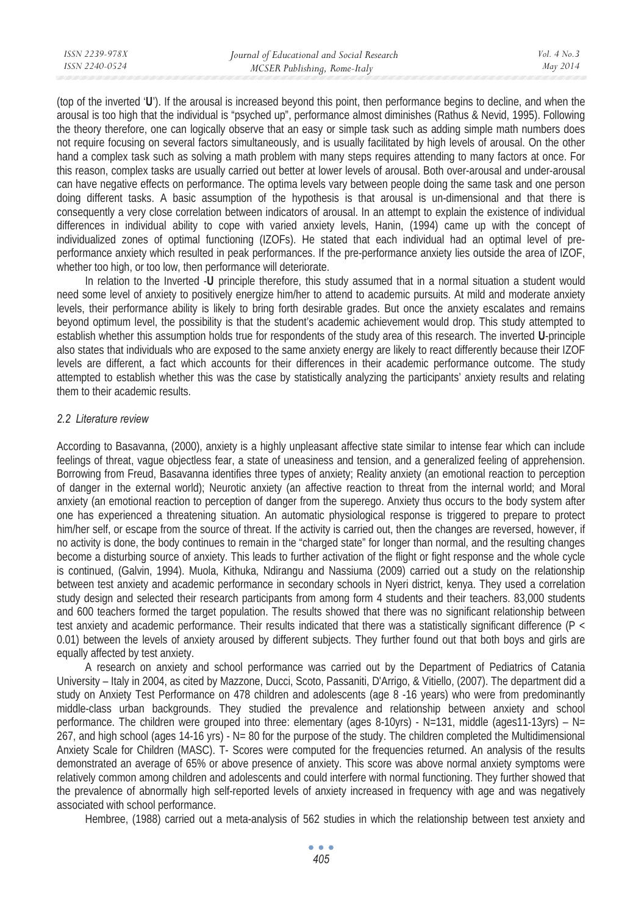| ISSN 2239-978X | Journal of Educational and Social Research | Vol. $4$ No. $3$ |
|----------------|--------------------------------------------|------------------|
| ISSN 2240-0524 | MCSER Publishing, Rome-Italy               | May 2014         |
|                |                                            |                  |

(top of the inverted '**U**'). If the arousal is increased beyond this point, then performance begins to decline, and when the arousal is too high that the individual is "psyched up", performance almost diminishes (Rathus & Nevid, 1995). Following the theory therefore, one can logically observe that an easy or simple task such as adding simple math numbers does not require focusing on several factors simultaneously, and is usually facilitated by high levels of arousal. On the other hand a complex task such as solving a math problem with many steps requires attending to many factors at once. For this reason, complex tasks are usually carried out better at lower levels of arousal. Both over-arousal and under-arousal can have negative effects on performance. The optima levels vary between people doing the same task and one person doing different tasks. A basic assumption of the hypothesis is that arousal is un-dimensional and that there is consequently a very close correlation between indicators of arousal. In an attempt to explain the existence of individual differences in individual ability to cope with varied anxiety levels, Hanin, (1994) came up with the concept of individualized zones of optimal functioning (IZOFs). He stated that each individual had an optimal level of preperformance anxiety which resulted in peak performances. If the pre-performance anxiety lies outside the area of IZOF, whether too high, or too low, then performance will deteriorate.

In relation to the Inverted -**U** principle therefore, this study assumed that in a normal situation a student would need some level of anxiety to positively energize him/her to attend to academic pursuits. At mild and moderate anxiety levels, their performance ability is likely to bring forth desirable grades. But once the anxiety escalates and remains beyond optimum level, the possibility is that the student's academic achievement would drop. This study attempted to establish whether this assumption holds true for respondents of the study area of this research. The inverted **U**-principle also states that individuals who are exposed to the same anxiety energy are likely to react differently because their IZOF levels are different, a fact which accounts for their differences in their academic performance outcome. The study attempted to establish whether this was the case by statistically analyzing the participants' anxiety results and relating them to their academic results.

#### *2.2 Literature review*

According to Basavanna, (2000), anxiety is a highly unpleasant affective state similar to intense fear which can include feelings of threat, vague objectless fear, a state of uneasiness and tension, and a generalized feeling of apprehension. Borrowing from Freud, Basavanna identifies three types of anxiety; Reality anxiety (an emotional reaction to perception of danger in the external world); Neurotic anxiety (an affective reaction to threat from the internal world; and Moral anxiety (an emotional reaction to perception of danger from the superego. Anxiety thus occurs to the body system after one has experienced a threatening situation. An automatic physiological response is triggered to prepare to protect him/her self, or escape from the source of threat. If the activity is carried out, then the changes are reversed, however, if no activity is done, the body continues to remain in the "charged state" for longer than normal, and the resulting changes become a disturbing source of anxiety. This leads to further activation of the flight or fight response and the whole cycle is continued, (Galvin, 1994). Muola, Kithuka, Ndirangu and Nassiuma (2009) carried out a study on the relationship between test anxiety and academic performance in secondary schools in Nyeri district, kenya. They used a correlation study design and selected their research participants from among form 4 students and their teachers. 83,000 students and 600 teachers formed the target population. The results showed that there was no significant relationship between test anxiety and academic performance. Their results indicated that there was a statistically significant difference (P < 0.01) between the levels of anxiety aroused by different subjects. They further found out that both boys and girls are equally affected by test anxiety.

A research on anxiety and school performance was carried out by the Department of Pediatrics of Catania University – Italy in 2004, as cited by Mazzone, Ducci, Scoto, Passaniti, D'Arrigo, & Vitiello, (2007). The department did a study on Anxiety Test Performance on 478 children and adolescents (age 8 -16 years) who were from predominantly middle-class urban backgrounds. They studied the prevalence and relationship between anxiety and school performance. The children were grouped into three: elementary (ages 8-10yrs) - N=131, middle (ages11-13yrs) – N= 267, and high school (ages 14-16 yrs) - N= 80 for the purpose of the study. The children completed the Multidimensional Anxiety Scale for Children (MASC). T- Scores were computed for the frequencies returned. An analysis of the results demonstrated an average of 65% or above presence of anxiety. This score was above normal anxiety symptoms were relatively common among children and adolescents and could interfere with normal functioning. They further showed that the prevalence of abnormally high self-reported levels of anxiety increased in frequency with age and was negatively associated with school performance.

Hembree, (1988) carried out a meta-analysis of 562 studies in which the relationship between test anxiety and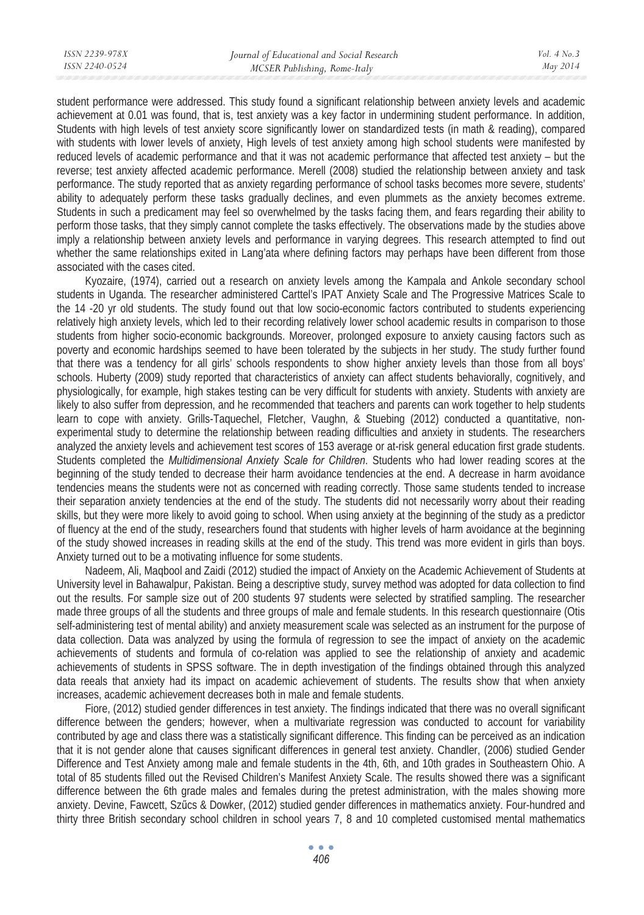student performance were addressed. This study found a significant relationship between anxiety levels and academic achievement at 0.01 was found, that is, test anxiety was a key factor in undermining student performance. In addition, Students with high levels of test anxiety score significantly lower on standardized tests (in math & reading), compared with students with lower levels of anxiety, High levels of test anxiety among high school students were manifested by reduced levels of academic performance and that it was not academic performance that affected test anxiety – but the reverse; test anxiety affected academic performance. Merell (2008) studied the relationship between anxiety and task performance. The study reported that as anxiety regarding performance of school tasks becomes more severe, students' ability to adequately perform these tasks gradually declines, and even plummets as the anxiety becomes extreme. Students in such a predicament may feel so overwhelmed by the tasks facing them, and fears regarding their ability to perform those tasks, that they simply cannot complete the tasks effectively. The observations made by the studies above imply a relationship between anxiety levels and performance in varying degrees. This research attempted to find out whether the same relationships exited in Lang'ata where defining factors may perhaps have been different from those associated with the cases cited.

Kyozaire, (1974), carried out a research on anxiety levels among the Kampala and Ankole secondary school students in Uganda. The researcher administered Carttel's IPAT Anxiety Scale and The Progressive Matrices Scale to the 14 -20 yr old students. The study found out that low socio-economic factors contributed to students experiencing relatively high anxiety levels, which led to their recording relatively lower school academic results in comparison to those students from higher socio-economic backgrounds. Moreover, prolonged exposure to anxiety causing factors such as poverty and economic hardships seemed to have been tolerated by the subjects in her study. The study further found that there was a tendency for all girls' schools respondents to show higher anxiety levels than those from all boys' schools. Huberty (2009) study reported that characteristics of anxiety can affect students behaviorally, cognitively, and physiologically, for example, high stakes testing can be very difficult for students with anxiety. Students with anxiety are likely to also suffer from depression, and he recommended that teachers and parents can work together to help students learn to cope with anxiety. Grills-Taquechel, Fletcher, Vaughn, & Stuebing (2012) conducted a quantitative, nonexperimental study to determine the relationship between reading difficulties and anxiety in students. The researchers analyzed the anxiety levels and achievement test scores of 153 average or at-risk general education first grade students. Students completed the *Multidimensional Anxiety Scale for Children*. Students who had lower reading scores at the beginning of the study tended to decrease their harm avoidance tendencies at the end. A decrease in harm avoidance tendencies means the students were not as concerned with reading correctly. Those same students tended to increase their separation anxiety tendencies at the end of the study. The students did not necessarily worry about their reading skills, but they were more likely to avoid going to school. When using anxiety at the beginning of the study as a predictor of fluency at the end of the study, researchers found that students with higher levels of harm avoidance at the beginning of the study showed increases in reading skills at the end of the study. This trend was more evident in girls than boys. Anxiety turned out to be a motivating influence for some students.

Nadeem, Ali, Maqbool and Zaidi (2012) studied the impact of Anxiety on the Academic Achievement of Students at University level in Bahawalpur, Pakistan. Being a descriptive study, survey method was adopted for data collection to find out the results. For sample size out of 200 students 97 students were selected by stratified sampling. The researcher made three groups of all the students and three groups of male and female students. In this research questionnaire (Otis self-administering test of mental ability) and anxiety measurement scale was selected as an instrument for the purpose of data collection. Data was analyzed by using the formula of regression to see the impact of anxiety on the academic achievements of students and formula of co-relation was applied to see the relationship of anxiety and academic achievements of students in SPSS software. The in depth investigation of the findings obtained through this analyzed data reeals that anxiety had its impact on academic achievement of students. The results show that when anxiety increases, academic achievement decreases both in male and female students.

Fiore, (2012) studied gender differences in test anxiety. The findings indicated that there was no overall significant difference between the genders; however, when a multivariate regression was conducted to account for variability contributed by age and class there was a statistically significant difference. This finding can be perceived as an indication that it is not gender alone that causes significant differences in general test anxiety. Chandler, (2006) studied Gender Difference and Test Anxiety among male and female students in the 4th, 6th, and 10th grades in Southeastern Ohio. A total of 85 students filled out the Revised Children's Manifest Anxiety Scale. The results showed there was a significant difference between the 6th grade males and females during the pretest administration, with the males showing more anxiety. Devine, Fawcett, Szűcs & Dowker, (2012) studied gender differences in mathematics anxiety. Four-hundred and thirty three British secondary school children in school years 7, 8 and 10 completed customised mental mathematics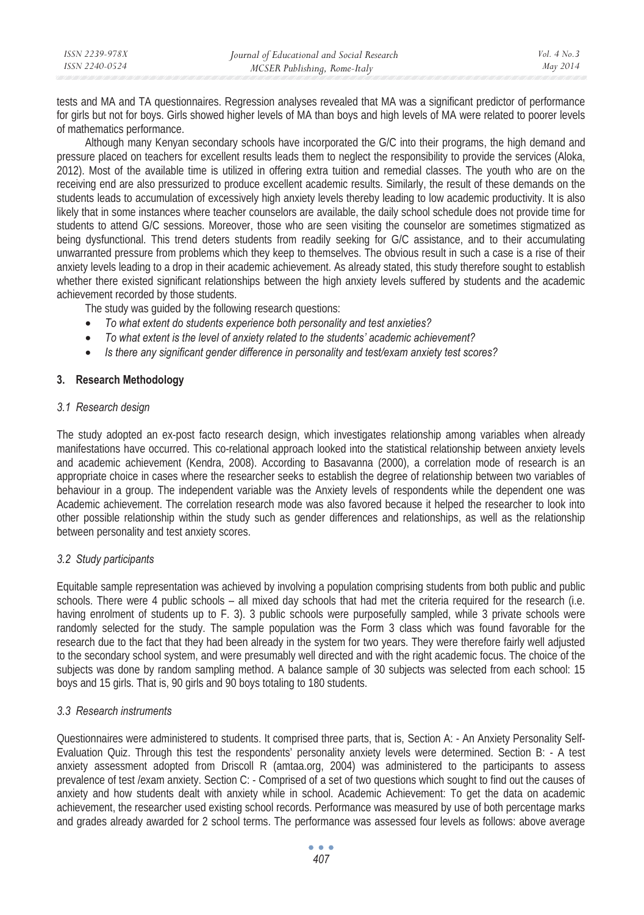| ISSN 2239-978X | Journal of Educational and Social Research | Vol. $4$ No. $3$ |
|----------------|--------------------------------------------|------------------|
| ISSN 2240-0524 | MCSER Publishing, Rome-Italy               | May 2014         |
|                |                                            |                  |

tests and MA and TA questionnaires. Regression analyses revealed that MA was a significant predictor of performance for girls but not for boys. Girls showed higher levels of MA than boys and high levels of MA were related to poorer levels of mathematics performance.

Although many Kenyan secondary schools have incorporated the G/C into their programs, the high demand and pressure placed on teachers for excellent results leads them to neglect the responsibility to provide the services (Aloka, 2012). Most of the available time is utilized in offering extra tuition and remedial classes. The youth who are on the receiving end are also pressurized to produce excellent academic results. Similarly, the result of these demands on the students leads to accumulation of excessively high anxiety levels thereby leading to low academic productivity. It is also likely that in some instances where teacher counselors are available, the daily school schedule does not provide time for students to attend G/C sessions. Moreover, those who are seen visiting the counselor are sometimes stigmatized as being dysfunctional. This trend deters students from readily seeking for G/C assistance, and to their accumulating unwarranted pressure from problems which they keep to themselves. The obvious result in such a case is a rise of their anxiety levels leading to a drop in their academic achievement. As already stated, this study therefore sought to establish whether there existed significant relationships between the high anxiety levels suffered by students and the academic achievement recorded by those students.

The study was guided by the following research questions:

- *To what extent do students experience both personality and test anxieties?*
- *To what extent is the level of anxiety related to the students' academic achievement?*
- *Is there any significant gender difference in personality and test/exam anxiety test scores?*

#### **3. Research Methodology**

#### *3.1 Research design*

The study adopted an ex-post facto research design, which investigates relationship among variables when already manifestations have occurred. This co-relational approach looked into the statistical relationship between anxiety levels and academic achievement (Kendra, 2008). According to Basavanna (2000), a correlation mode of research is an appropriate choice in cases where the researcher seeks to establish the degree of relationship between two variables of behaviour in a group. The independent variable was the Anxiety levels of respondents while the dependent one was Academic achievement. The correlation research mode was also favored because it helped the researcher to look into other possible relationship within the study such as gender differences and relationships, as well as the relationship between personality and test anxiety scores.

## *3.2 Study participants*

Equitable sample representation was achieved by involving a population comprising students from both public and public schools. There were 4 public schools – all mixed day schools that had met the criteria required for the research (i.e. having enrolment of students up to F. 3). 3 public schools were purposefully sampled, while 3 private schools were randomly selected for the study. The sample population was the Form 3 class which was found favorable for the research due to the fact that they had been already in the system for two years. They were therefore fairly well adjusted to the secondary school system, and were presumably well directed and with the right academic focus. The choice of the subjects was done by random sampling method. A balance sample of 30 subjects was selected from each school: 15 boys and 15 girls. That is, 90 girls and 90 boys totaling to 180 students.

#### *3.3 Research instruments*

Questionnaires were administered to students. It comprised three parts, that is, Section A: - An Anxiety Personality Self-Evaluation Quiz. Through this test the respondents' personality anxiety levels were determined. Section B: - A test anxiety assessment adopted from Driscoll R (amtaa.org, 2004) was administered to the participants to assess prevalence of test /exam anxiety. Section C: - Comprised of a set of two questions which sought to find out the causes of anxiety and how students dealt with anxiety while in school. Academic Achievement: To get the data on academic achievement, the researcher used existing school records. Performance was measured by use of both percentage marks and grades already awarded for 2 school terms. The performance was assessed four levels as follows: above average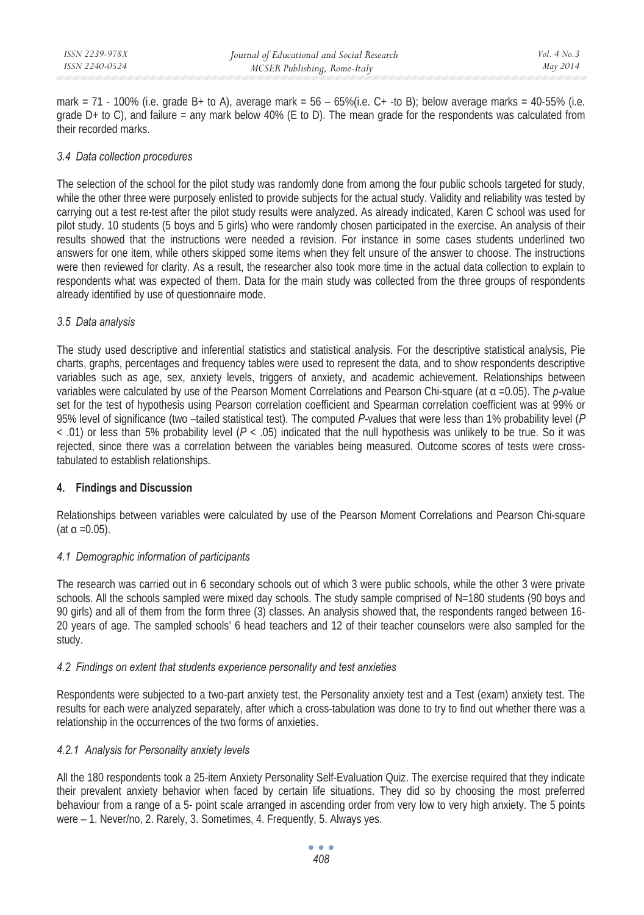mark = 71 - 100% (i.e. grade B+ to A), average mark =  $56 - 65$ %(i.e. C+ -to B); below average marks = 40-55% (i.e. grade D+ to C), and failure = any mark below 40% (E to D). The mean grade for the respondents was calculated from their recorded marks.

#### *3.4 Data collection procedures*

The selection of the school for the pilot study was randomly done from among the four public schools targeted for study, while the other three were purposely enlisted to provide subjects for the actual study. Validity and reliability was tested by carrying out a test re-test after the pilot study results were analyzed. As already indicated, Karen C school was used for pilot study. 10 students (5 boys and 5 girls) who were randomly chosen participated in the exercise. An analysis of their results showed that the instructions were needed a revision. For instance in some cases students underlined two answers for one item, while others skipped some items when they felt unsure of the answer to choose. The instructions were then reviewed for clarity. As a result, the researcher also took more time in the actual data collection to explain to respondents what was expected of them. Data for the main study was collected from the three groups of respondents already identified by use of questionnaire mode.

#### *3.5 Data analysis*

The study used descriptive and inferential statistics and statistical analysis. For the descriptive statistical analysis, Pie charts, graphs, percentages and frequency tables were used to represent the data, and to show respondents descriptive variables such as age, sex, anxiety levels, triggers of anxiety, and academic achievement. Relationships between variables were calculated by use of the Pearson Moment Correlations and Pearson Chi-square (at  $\alpha$  =0.05). The *p*-value set for the test of hypothesis using Pearson correlation coefficient and Spearman correlation coefficient was at 99% or 95% level of significance (two –tailed statistical test). The computed *P-*values that were less than 1% probability level (*P* < .01) or less than 5% probability level (*P* < .05) indicated that the null hypothesis was unlikely to be true. So it was rejected, since there was a correlation between the variables being measured. Outcome scores of tests were crosstabulated to establish relationships.

## **4. Findings and Discussion**

Relationships between variables were calculated by use of the Pearson Moment Correlations and Pearson Chi-square (at  $\alpha = 0.05$ ).

## *4.1 Demographic information of participants*

The research was carried out in 6 secondary schools out of which 3 were public schools, while the other 3 were private schools. All the schools sampled were mixed day schools. The study sample comprised of N=180 students (90 boys and 90 girls) and all of them from the form three (3) classes. An analysis showed that, the respondents ranged between 16- 20 years of age. The sampled schools' 6 head teachers and 12 of their teacher counselors were also sampled for the study.

#### *4.2 Findings on extent that students experience personality and test anxieties*

Respondents were subjected to a two-part anxiety test, the Personality anxiety test and a Test (exam) anxiety test. The results for each were analyzed separately, after which a cross-tabulation was done to try to find out whether there was a relationship in the occurrences of the two forms of anxieties.

## *4.2.1 Analysis for Personality anxiety levels*

All the 180 respondents took a 25-item Anxiety Personality Self-Evaluation Quiz. The exercise required that they indicate their prevalent anxiety behavior when faced by certain life situations. They did so by choosing the most preferred behaviour from a range of a 5- point scale arranged in ascending order from very low to very high anxiety. The 5 points were – 1. Never/no, 2. Rarely, 3. Sometimes, 4. Frequently, 5. Always yes.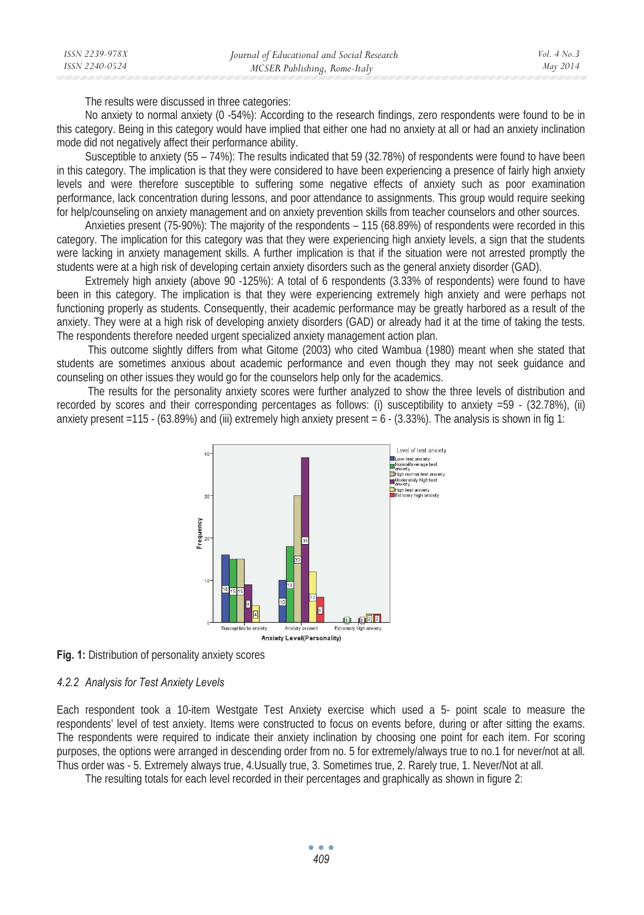The results were discussed in three categories:

No anxiety to normal anxiety (0 -54%): According to the research findings, zero respondents were found to be in this category. Being in this category would have implied that either one had no anxiety at all or had an anxiety inclination mode did not negatively affect their performance ability.

Susceptible to anxiety (55 – 74%): The results indicated that 59 (32.78%) of respondents were found to have been in this category. The implication is that they were considered to have been experiencing a presence of fairly high anxiety levels and were therefore susceptible to suffering some negative effects of anxiety such as poor examination performance, lack concentration during lessons, and poor attendance to assignments. This group would require seeking for help/counseling on anxiety management and on anxiety prevention skills from teacher counselors and other sources.

Anxieties present (75-90%): The majority of the respondents – 115 (68.89%) of respondents were recorded in this category. The implication for this category was that they were experiencing high anxiety levels, a sign that the students were lacking in anxiety management skills. A further implication is that if the situation were not arrested promptly the students were at a high risk of developing certain anxiety disorders such as the general anxiety disorder (GAD).

Extremely high anxiety (above 90 -125%): A total of 6 respondents (3.33% of respondents) were found to have been in this category. The implication is that they were experiencing extremely high anxiety and were perhaps not functioning properly as students. Consequently, their academic performance may be greatly harbored as a result of the anxiety. They were at a high risk of developing anxiety disorders (GAD) or already had it at the time of taking the tests. The respondents therefore needed urgent specialized anxiety management action plan.

 This outcome slightly differs from what Gitome (2003) who cited Wambua (1980) meant when she stated that students are sometimes anxious about academic performance and even though they may not seek guidance and counseling on other issues they would go for the counselors help only for the academics.

 The results for the personality anxiety scores were further analyzed to show the three levels of distribution and recorded by scores and their corresponding percentages as follows: (i) susceptibility to anxiety =59 - (32.78%), (ii) anxiety present =115 - (63.89%) and (iii) extremely high anxiety present =  $6$  - (3.33%). The analysis is shown in fig 1:



**Fig. 1:** Distribution of personality anxiety scores

#### *4.2.2 Analysis for Test Anxiety Levels*

Each respondent took a 10-item Westgate Test Anxiety exercise which used a 5- point scale to measure the respondents' level of test anxiety. Items were constructed to focus on events before, during or after sitting the exams. The respondents were required to indicate their anxiety inclination by choosing one point for each item. For scoring purposes, the options were arranged in descending order from no. 5 for extremely/always true to no.1 for never/not at all. Thus order was - 5. Extremely always true, 4.Usually true, 3. Sometimes true, 2. Rarely true, 1. Never/Not at all.

The resulting totals for each level recorded in their percentages and graphically as shown in figure 2: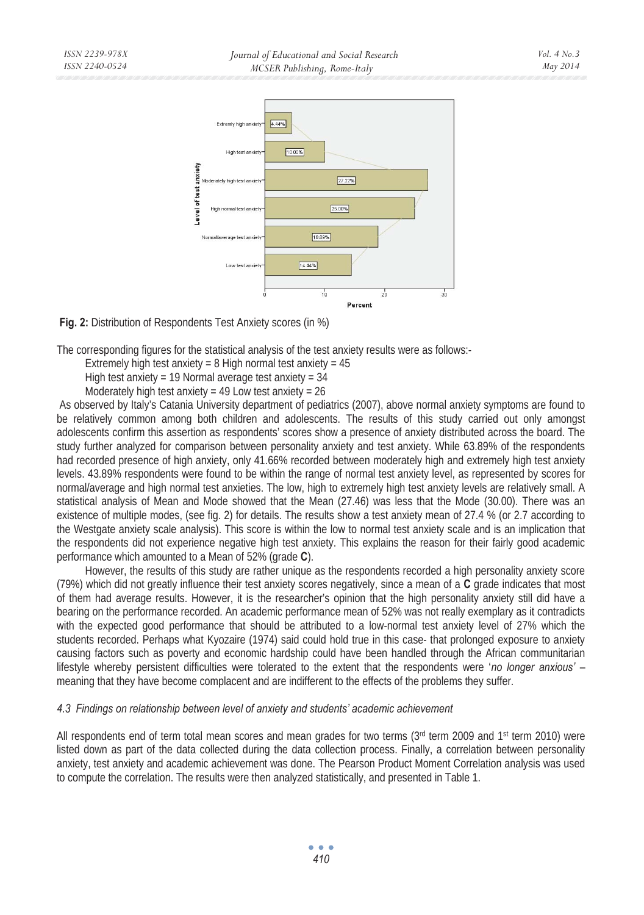

**Fig. 2:** Distribution of Respondents Test Anxiety scores (in %)

The corresponding figures for the statistical analysis of the test anxiety results were as follows:-

Extremely high test anxiety = 8 High normal test anxiety =  $45$ 

High test anxiety = 19 Normal average test anxiety =  $34$ 

Moderately high test anxiety =  $49$  Low test anxiety =  $26$ 

 As observed by Italy's Catania University department of pediatrics (2007), above normal anxiety symptoms are found to be relatively common among both children and adolescents. The results of this study carried out only amongst adolescents confirm this assertion as respondents' scores show a presence of anxiety distributed across the board. The study further analyzed for comparison between personality anxiety and test anxiety. While 63.89% of the respondents had recorded presence of high anxiety, only 41.66% recorded between moderately high and extremely high test anxiety levels. 43.89% respondents were found to be within the range of normal test anxiety level, as represented by scores for normal/average and high normal test anxieties. The low, high to extremely high test anxiety levels are relatively small. A statistical analysis of Mean and Mode showed that the Mean (27.46) was less that the Mode (30.00). There was an existence of multiple modes, (see fig. 2) for details. The results show a test anxiety mean of 27.4 % (or 2.7 according to the Westgate anxiety scale analysis). This score is within the low to normal test anxiety scale and is an implication that the respondents did not experience negative high test anxiety. This explains the reason for their fairly good academic performance which amounted to a Mean of 52% (grade **C**).

However, the results of this study are rather unique as the respondents recorded a high personality anxiety score (79%) which did not greatly influence their test anxiety scores negatively, since a mean of a **C** grade indicates that most of them had average results. However, it is the researcher's opinion that the high personality anxiety still did have a bearing on the performance recorded. An academic performance mean of 52% was not really exemplary as it contradicts with the expected good performance that should be attributed to a low-normal test anxiety level of 27% which the students recorded. Perhaps what Kyozaire (1974) said could hold true in this case- that prolonged exposure to anxiety causing factors such as poverty and economic hardship could have been handled through the African communitarian lifestyle whereby persistent difficulties were tolerated to the extent that the respondents were '*no longer anxious'* – meaning that they have become complacent and are indifferent to the effects of the problems they suffer.

#### *4.3 Findings on relationship between level of anxiety and students' academic achievement*

All respondents end of term total mean scores and mean grades for two terms  $(3^{rd}$  term 2009 and 1<sup>st</sup> term 2010) were listed down as part of the data collected during the data collection process. Finally, a correlation between personality anxiety, test anxiety and academic achievement was done. The Pearson Product Moment Correlation analysis was used to compute the correlation. The results were then analyzed statistically, and presented in Table 1.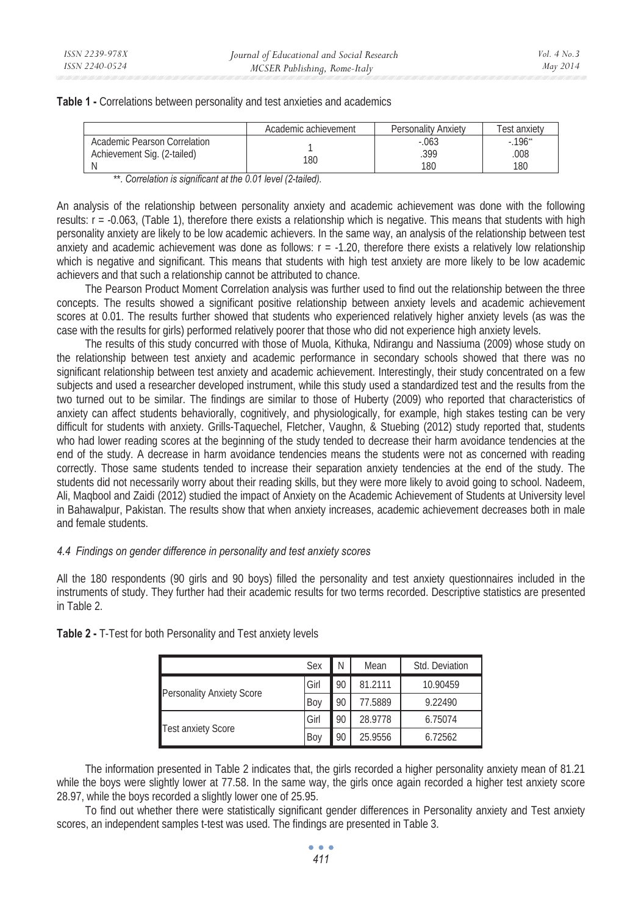**Table 1 -** Correlations between personality and test anxieties and academics

|                                                             | Academic achievement | <b>Personality Anxiety</b> | Test anxietv                       |
|-------------------------------------------------------------|----------------------|----------------------------|------------------------------------|
| Academic Pearson Correlation<br>Achievement Sig. (2-tailed) | 180                  | $-.063$<br>.399<br>180     | $-196$ <sup>**</sup><br>008<br>180 |

\*\*. *Correlation is significant at the 0.01 level (2-tailed).*

An analysis of the relationship between personality anxiety and academic achievement was done with the following results:  $r = -0.063$ , (Table 1), therefore there exists a relationship which is negative. This means that students with high personality anxiety are likely to be low academic achievers. In the same way, an analysis of the relationship between test anxiety and academic achievement was done as follows:  $r = -1.20$ , therefore there exists a relatively low relationship which is negative and significant. This means that students with high test anxiety are more likely to be low academic achievers and that such a relationship cannot be attributed to chance.

The Pearson Product Moment Correlation analysis was further used to find out the relationship between the three concepts. The results showed a significant positive relationship between anxiety levels and academic achievement scores at 0.01. The results further showed that students who experienced relatively higher anxiety levels (as was the case with the results for girls) performed relatively poorer that those who did not experience high anxiety levels.

The results of this study concurred with those of Muola, Kithuka, Ndirangu and Nassiuma (2009) whose study on the relationship between test anxiety and academic performance in secondary schools showed that there was no significant relationship between test anxiety and academic achievement. Interestingly, their study concentrated on a few subjects and used a researcher developed instrument, while this study used a standardized test and the results from the two turned out to be similar. The findings are similar to those of Huberty (2009) who reported that characteristics of anxiety can affect students behaviorally, cognitively, and physiologically, for example, high stakes testing can be very difficult for students with anxiety. Grills-Taquechel, Fletcher, Vaughn, & Stuebing (2012) study reported that, students who had lower reading scores at the beginning of the study tended to decrease their harm avoidance tendencies at the end of the study. A decrease in harm avoidance tendencies means the students were not as concerned with reading correctly. Those same students tended to increase their separation anxiety tendencies at the end of the study. The students did not necessarily worry about their reading skills, but they were more likely to avoid going to school. Nadeem, Ali, Maqbool and Zaidi (2012) studied the impact of Anxiety on the Academic Achievement of Students at University level in Bahawalpur, Pakistan. The results show that when anxiety increases, academic achievement decreases both in male and female students.

#### *4.4 Findings on gender difference in personality and test anxiety scores*

All the 180 respondents (90 girls and 90 boys) filled the personality and test anxiety questionnaires included in the instruments of study. They further had their academic results for two terms recorded. Descriptive statistics are presented in Table 2.

|                                  | Sex  | Ν  | Mean    | Std. Deviation |
|----------------------------------|------|----|---------|----------------|
|                                  | Girl | 90 | 81.2111 | 10.90459       |
| <b>Personality Anxiety Score</b> | Boy  | 90 | 77.5889 | 9.22490        |
|                                  | Girl | 90 | 28.9778 | 6.75074        |
| <b>Test anxiety Score</b>        | Bov  | 90 | 25.9556 | 6.72562        |

**Table 2 -** T-Test for both Personality and Test anxiety levels

The information presented in Table 2 indicates that, the girls recorded a higher personality anxiety mean of 81.21 while the boys were slightly lower at 77.58. In the same way, the girls once again recorded a higher test anxiety score 28.97, while the boys recorded a slightly lower one of 25.95.

To find out whether there were statistically significant gender differences in Personality anxiety and Test anxiety scores, an independent samples t-test was used. The findings are presented in Table 3.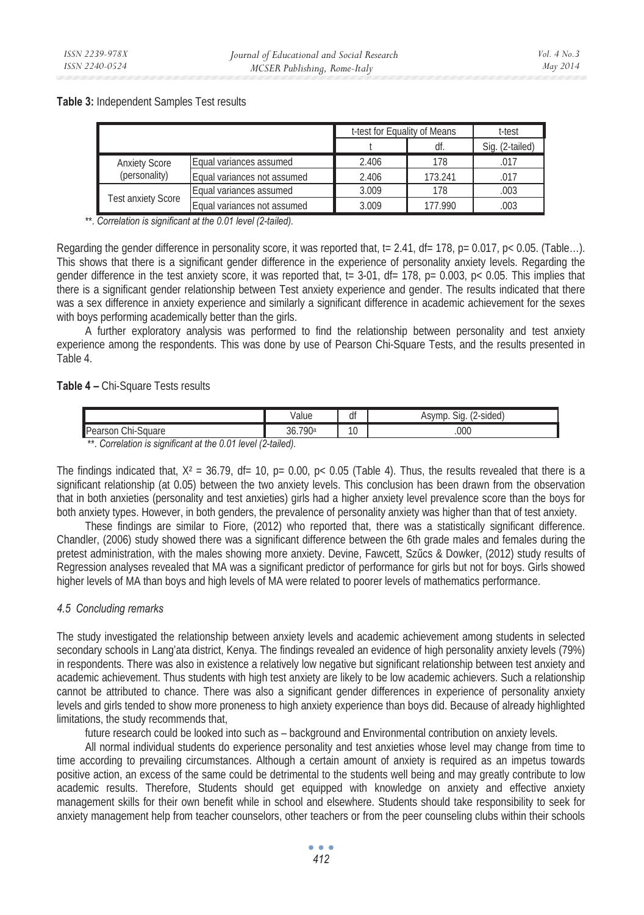#### **Table 3:** Independent Samples Test results

|                                       |                             | t-test for Equality of Means |         | t-test          |
|---------------------------------------|-----------------------------|------------------------------|---------|-----------------|
|                                       |                             |                              | df.     | Sig. (2-tailed) |
| <b>Anxiety Score</b><br>(personality) | Equal variances assumed     | 2.406                        | 178     | .017            |
|                                       | Equal variances not assumed | 2.406                        | 173.241 | .017            |
| <b>Test anxiety Score</b>             | Equal variances assumed     | 3.009                        | 178     | .003            |
|                                       | Equal variances not assumed | 3.009                        | 177.990 | .003            |

\*\*. *Correlation is significant at the 0.01 level (2-tailed).*

Regarding the gender difference in personality score, it was reported that,  $t = 2.41$ ,  $df = 178$ ,  $p = 0.017$ ,  $p < 0.05$ . (Table...). This shows that there is a significant gender difference in the experience of personality anxiety levels. Regarding the gender difference in the test anxiety score, it was reported that,  $t = 3-01$ , df= 178, p= 0.003, p< 0.05. This implies that there is a significant gender relationship between Test anxiety experience and gender. The results indicated that there was a sex difference in anxiety experience and similarly a significant difference in academic achievement for the sexes with boys performing academically better than the girls.

A further exploratory analysis was performed to find the relationship between personality and test anxiety experience among the respondents. This was done by use of Pearson Chi-Square Tests, and the results presented in Table 4.

**Table 4 –** Chi-Square Tests results

|                                   | 'alue                | df | $\sim$<br>2-sided<br>Sia<br>SVM <sub>D</sub> . |  |
|-----------------------------------|----------------------|----|------------------------------------------------|--|
| Chi-'<br>Square<br><b>Pearson</b> | 70∩a<br>$\sim$<br>36 | 10 | 000                                            |  |
|                                   |                      |    |                                                |  |

\*\*. *Correlation is significant at the 0.01 level (2-tailed).*

The findings indicated that,  $X^2 = 36.79$ , df= 10, p= 0.00, p< 0.05 (Table 4). Thus, the results revealed that there is a significant relationship (at 0.05) between the two anxiety levels. This conclusion has been drawn from the observation that in both anxieties (personality and test anxieties) girls had a higher anxiety level prevalence score than the boys for both anxiety types. However, in both genders, the prevalence of personality anxiety was higher than that of test anxiety.

These findings are similar to Fiore, (2012) who reported that, there was a statistically significant difference. Chandler, (2006) study showed there was a significant difference between the 6th grade males and females during the pretest administration, with the males showing more anxiety. Devine, Fawcett, Szűcs & Dowker, (2012) study results of Regression analyses revealed that MA was a significant predictor of performance for girls but not for boys. Girls showed higher levels of MA than boys and high levels of MA were related to poorer levels of mathematics performance.

## *4.5 Concluding remarks*

The study investigated the relationship between anxiety levels and academic achievement among students in selected secondary schools in Lang'ata district, Kenya. The findings revealed an evidence of high personality anxiety levels (79%) in respondents. There was also in existence a relatively low negative but significant relationship between test anxiety and academic achievement. Thus students with high test anxiety are likely to be low academic achievers. Such a relationship cannot be attributed to chance. There was also a significant gender differences in experience of personality anxiety levels and girls tended to show more proneness to high anxiety experience than boys did. Because of already highlighted limitations, the study recommends that,

future research could be looked into such as – background and Environmental contribution on anxiety levels.

All normal individual students do experience personality and test anxieties whose level may change from time to time according to prevailing circumstances. Although a certain amount of anxiety is required as an impetus towards positive action, an excess of the same could be detrimental to the students well being and may greatly contribute to low academic results. Therefore, Students should get equipped with knowledge on anxiety and effective anxiety management skills for their own benefit while in school and elsewhere. Students should take responsibility to seek for anxiety management help from teacher counselors, other teachers or from the peer counseling clubs within their schools